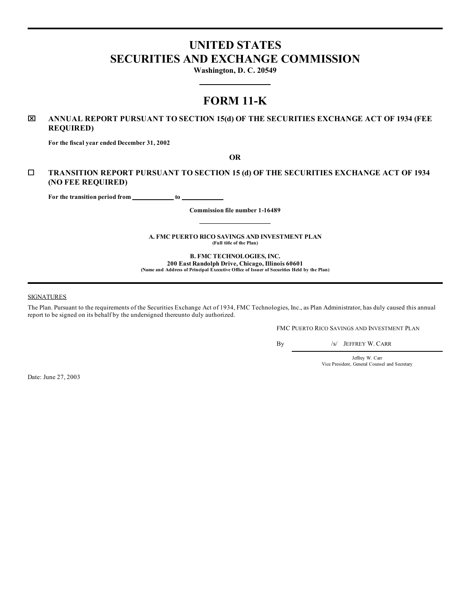# **UNITED STATES SECURITIES AND EXCHANGE COMMISSION**

**Washington, D. C. 20549**

# **FORM 11-K**

# x **ANNUAL REPORT PURSUANT TO SECTION 15(d) OF THE SECURITIES EXCHANGE ACT OF 1934 (FEE REQUIRED)**

**For the fiscal year ended December 31, 2002**

**OR**

# ¨ **TRANSITION REPORT PURSUANT TO SECTION 15 (d) OF THE SECURITIES EXCHANGE ACT OF 1934 (NO FEE REQUIRED)**

**For the transition period from to**

**Commission file number 1-16489**

**A. FMC PUERTO RICO SAVINGS AND INVESTMENT PLAN (Full title of the Plan)**

**B. FMC TECHNOLOGIES, INC. 200 East Randolph Drive, Chicago, Illinois 60601**

**(Name and Address of Principal Executive Office of Issuer of Securities Held by the Plan)**

## **SIGNATURES**

The Plan. Pursuant to the requirements of the Securities Exchange Act of 1934, FMC Technologies, Inc., as Plan Administrator, has duly caused this annual report to be signed on its behalf by the undersigned thereunto duly authorized.

FMC PUERTO RICO SAVINGS AND INVESTMENT PLAN

By /s/ JEFFREY W. CARR

Jeffrey W. Carr Vice President, General Counsel and Secretary

Date: June 27, 2003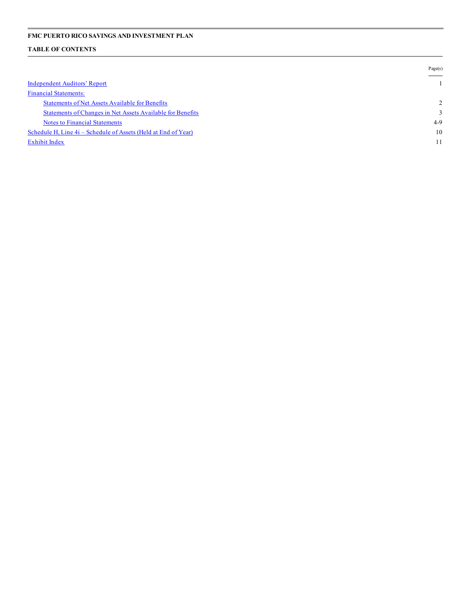# **TABLE OF CONTENTS**

| Page(s)                                                        |    |
|----------------------------------------------------------------|----|
| <b>Independent Auditors' Report</b>                            |    |
| <b>Financial Statements:</b>                                   |    |
| <b>Statements of Net Assets Available for Benefits</b>         | 2  |
| Statements of Changes in Net Assets Available for Benefits     | 3  |
| $4-9$<br><b>Notes to Financial Statements</b>                  |    |
| Schedule H, Line 4i – Schedule of Assets (Held at End of Year) | 10 |
| Exhibit Index                                                  | 11 |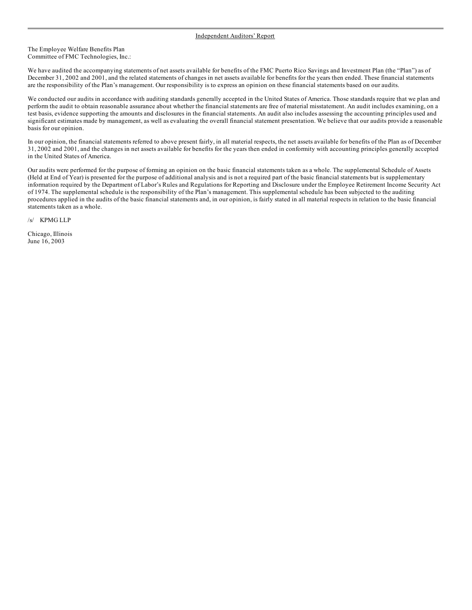<span id="page-2-0"></span>The Employee Welfare Benefits Plan Committee of FMC Technologies, Inc.:

We have audited the accompanying statements of net assets available for benefits of the FMC Puerto Rico Savings and Investment Plan (the "Plan") as of December 31, 2002 and 2001, and the related statements of changes in net assets available for benefits for the years then ended. These financial statements are the responsibility of the Plan's management. Our responsibility is to express an opinion on these financial statements based on our audits.

We conducted our audits in accordance with auditing standards generally accepted in the United States of America. Those standards require that we plan and perform the audit to obtain reasonable assurance about whether the financial statements are free of material misstatement. An audit includes examining, on a test basis, evidence supporting the amounts and disclosures in the financial statements. An audit also includes assessing the accounting principles used and significant estimates made by management, as well as evaluating the overall financial statement presentation. We believe that our audits provide a reasonable basis for our opinion.

In our opinion, the financial statements referred to above present fairly, in all material respects, the net assets available for benefits of the Plan as of December 31, 2002 and 2001, and the changes in net assets available for benefits for the years then ended in conformity with accounting principles generally accepted in the United States of America.

Our audits were performed for the purpose of forming an opinion on the basic financial statements taken as a whole. The supplemental Schedule of Assets (Held at End of Year) is presented for the purpose of additional analysis and is not a required part of the basic financial statements but is supplementary information required by the Department of Labor's Rules and Regulations for Reporting and Disclosure under the Employee Retirement Income Security Act of 1974. The supplemental schedule is the responsibility of the Plan's management. This supplemental schedule has been subjected to the auditing procedures applied in the audits of the basic financial statements and, in our opinion, is fairly stated in all material respects in relation to the basic financial statements taken as a whole.

/s/ KPMG LLP

Chicago, Illinois June 16, 2003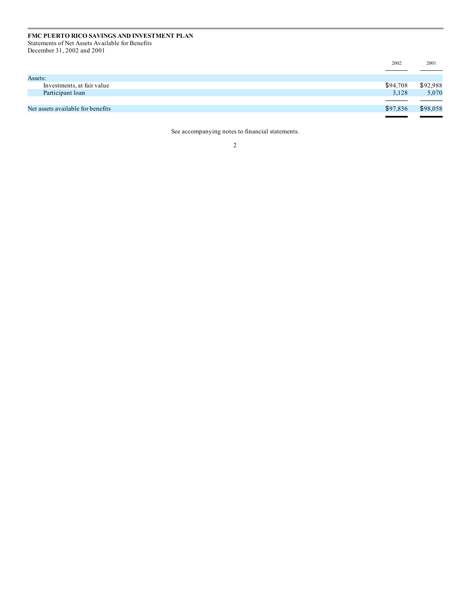# <span id="page-3-0"></span>**FMC PUERTO RICO SAVINGS AND INVESTMENT PLAN** Statements of Net Assets Available for Benefits

December 31, 2002 and 2001

|                                   | 2002     | 2001     |
|-----------------------------------|----------|----------|
|                                   |          |          |
| Assets:                           |          |          |
| Investments, at fair value        | \$94,708 | \$92,988 |
| Participant loan                  | 3,128    | 5,070    |
|                                   |          |          |
| Net assets available for benefits | \$97,836 | \$98,058 |
|                                   |          |          |

See accompanying notes to financial statements.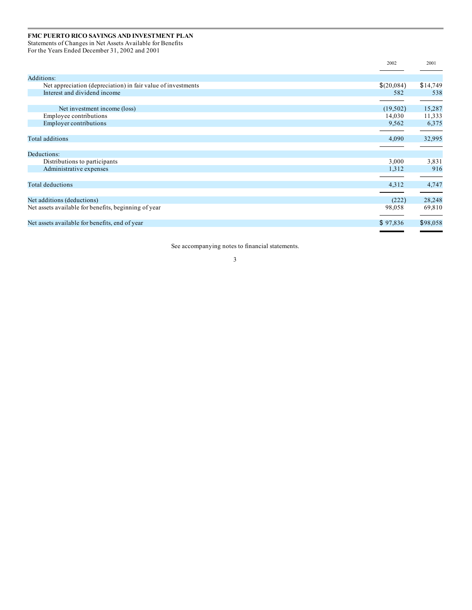<span id="page-4-0"></span>Statements of Changes in Net Assets Available for Benefits For the Years Ended December 31, 2002 and 2001

|                                                              | 2002       | 2001     |
|--------------------------------------------------------------|------------|----------|
| Additions:                                                   |            |          |
| Net appreciation (depreciation) in fair value of investments | \$(20,084) | \$14,749 |
| Interest and dividend income                                 | 582        | 538      |
|                                                              |            |          |
| Net investment income (loss)                                 | (19,502)   | 15,287   |
| Employee contributions                                       | 14,030     | 11,333   |
| Employer contributions                                       | 9,562      | 6,375    |
|                                                              |            |          |
| Total additions                                              | 4,090      | 32,995   |
|                                                              |            |          |
| Deductions:                                                  |            |          |
| Distributions to participants                                | 3,000      | 3,831    |
| Administrative expenses                                      | 1,312      | 916      |
|                                                              |            |          |
| <b>Total deductions</b>                                      | 4,312      | 4,747    |
|                                                              |            |          |
| Net additions (deductions)                                   | (222)      | 28,248   |
| Net assets available for benefits, beginning of year         | 98,058     | 69,810   |
| Net assets available for benefits, end of year               | \$97,836   | \$98,058 |

See accompanying notes to financial statements.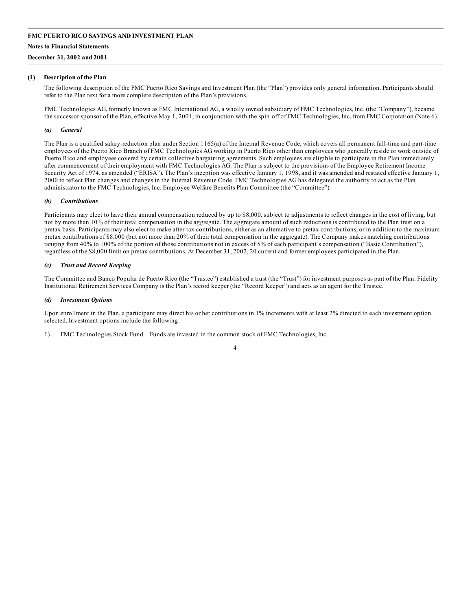#### <span id="page-5-0"></span>**Notes to Financial Statements**

## **December 31, 2002 and 2001**

#### **(1) Description of the Plan**

The following description of the FMC Puerto Rico Savings and Investment Plan (the "Plan") provides only general information. Participants should refer to the Plan text for a more complete description of the Plan's provisions.

FMC Technologies AG, formerly known as FMC International AG, a wholly owned subsidiary of FMC Technologies, Inc. (the "Company"), became the successor-sponsor of the Plan, effective May 1, 2001, in conjunction with the spin-off of FMC Technologies, Inc. from FMC Corporation (Note 6).

#### *(a) General*

The Plan is a qualified salary-reduction plan under Section 1165(a) of the Internal Revenue Code, which covers all permanent full-time and part-time employees of the Puerto Rico Branch of FMC Technologies AG working in Puerto Rico other than employees who generally reside or work outside of Puerto Rico and employees covered by certain collective bargaining agreements. Such employees are eligible to participate in the Plan immediately after commencement of their employment with FMC Technologies AG. The Plan is subject to the provisions of the Employee Retirement Income Security Act of 1974, as amended ("ERISA"). The Plan's inception was effective January 1, 1998, and it was amended and restated effective January 1, 2000 to reflect Plan changes and changes in the Internal Revenue Code. FMC Technologies AG has delegated the authority to act as the Plan administrator to the FMC Technologies, Inc. Employee Welfare Benefits Plan Committee (the "Committee").

#### *(b) Contributions*

Participants may elect to have their annual compensation reduced by up to \$8,000, subject to adjustments to reflect changes in the cost of living, but not by more than 10% of their total compensation in the aggregate. The aggregate amount of such reductions is contributed to the Plan trust on a pretax basis. Participants may also elect to make after-tax contributions, either as an alternative to pretax contributions, or in addition to the maximum pretax contributions of \$8,000 (but not more than 20% of their total compensation in the aggregate). The Company makes matching contributions ranging from 40% to 100% of the portion of those contributions not in excess of 5% of each participant's compensation ("Basic Contribution"), regardless of the \$8,000 limit on pretax contributions. At December 31, 2002, 20 current and former employees participated in the Plan.

#### *(c) Trust and Record Keeping*

The Committee and Banco Popular de Puerto Rico (the "Trustee") established a trust (the "Trust") for investment purposes as part of the Plan. Fidelity Institutional Retirement Services Company is the Plan's record keeper (the "Record Keeper") and acts as an agent for the Trustee.

#### *(d) Investment Options*

Upon enrollment in the Plan, a participant may direct his or her contributions in 1% increments with at least 2% directed to each investment option selected. Investment options include the following:

1) FMC Technologies Stock Fund – Funds are invested in the common stock of FMC Technologies, Inc.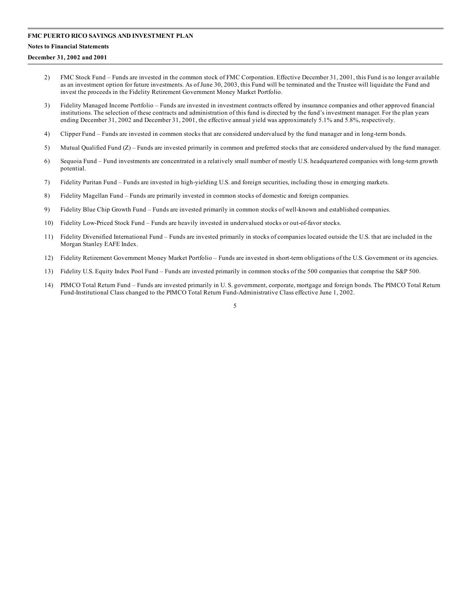#### **Notes to Financial Statements**

#### **December 31, 2002 and 2001**

- 2) FMC Stock Fund Funds are invested in the common stock of FMC Corporation. Effective December 31, 2001, this Fund is no longer available as an investment option for future investments. As of June 30, 2003, this Fund will be terminated and the Trustee will liquidate the Fund and invest the proceeds in the Fidelity Retirement Government Money Market Portfolio.
- 3) Fidelity Managed Income Portfolio Funds are invested in investment contracts offered by insurance companies and other approved financial institutions. The selection of these contracts and administration of this fund is directed by the fund's investment manager. For the plan years ending December 31, 2002 and December 31, 2001, the effective annual yield was approximately 5.1% and 5.8%, respectively.
- 4) Clipper Fund Funds are invested in common stocks that are considered undervalued by the fund manager and in long-term bonds.
- 5) Mutual Qualified Fund (Z) Funds are invested primarily in common and preferred stocks that are considered undervalued by the fund manager.
- 6) Sequoia Fund Fund investments are concentrated in a relatively small number of mostly U.S. headquartered companies with long-term growth potential.
- 7) Fidelity Puritan Fund Funds are invested in high-yielding U.S. and foreign securities, including those in emerging markets.
- 8) Fidelity Magellan Fund Funds are primarily invested in common stocks of domestic and foreign companies.
- 9) Fidelity Blue Chip Growth Fund Funds are invested primarily in common stocks of well-known and established companies.
- 10) Fidelity Low-Priced Stock Fund Funds are heavily invested in undervalued stocks or out-of-favor stocks.
- 11) Fidelity Diversified International Fund Funds are invested primarily in stocks of companies located outside the U.S. that are included in the Morgan Stanley EAFE Index.
- 12) Fidelity Retirement Government Money Market Portfolio Funds are invested in short-term obligations of the U.S. Government or its agencies.
- 13) Fidelity U.S. Equity Index Pool Fund Funds are invested primarily in common stocks of the 500 companies that comprise the S&P 500.
- 14) PIMCO Total Return Fund Funds are invested primarily in U. S. government, corporate, mortgage and foreign bonds. The PIMCO Total Return Fund-Institutional Class changed to the PIMCO Total Return Fund-Administrative Class effective June 1, 2002.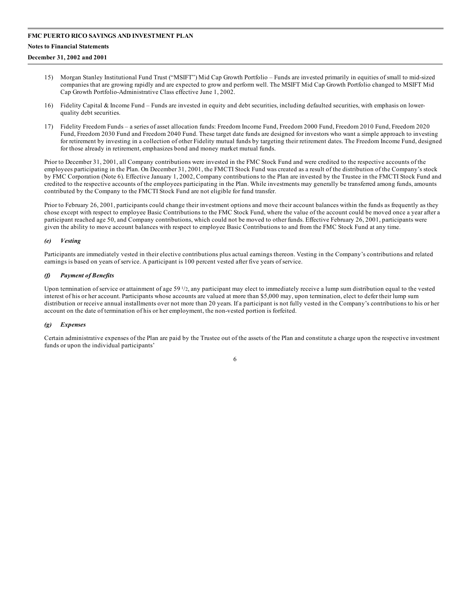#### **Notes to Financial Statements**

## **December 31, 2002 and 2001**

- 15) Morgan Stanley Institutional Fund Trust ("MSIFT") Mid Cap Growth Portfolio Funds are invested primarily in equities of small to mid-sized companies that are growing rapidly and are expected to grow and perform well. The MSIFT Mid Cap Growth Portfolio changed to MSIFT Mid Cap Growth Portfolio-Administrative Class effective June 1, 2002.
- 16) Fidelity Capital & Income Fund Funds are invested in equity and debt securities, including defaulted securities, with emphasis on lowerquality debt securities.
- 17) Fidelity Freedom Funds a series of asset allocation funds: Freedom Income Fund, Freedom 2000 Fund, Freedom 2010 Fund, Freedom 2020 Fund, Freedom 2030 Fund and Freedom 2040 Fund. These target date funds are designed for investors who want a simple approach to investing for retirement by investing in a collection of other Fidelity mutual funds by targeting their retirement dates. The Freedom Income Fund, designed for those already in retirement, emphasizes bond and money market mutual funds.

Prior to December 31, 2001, all Company contributions were invested in the FMC Stock Fund and were credited to the respective accounts of the employees participating in the Plan. On December 31, 2001, the FMCTI Stock Fund was created as a result of the distribution of the Company's stock by FMC Corporation (Note 6). Effective January 1, 2002, Company contributions to the Plan are invested by the Trustee in the FMCTI Stock Fund and credited to the respective accounts of the employees participating in the Plan. While investments may generally be transferred among funds, amounts contributed by the Company to the FMCTI Stock Fund are not eligible for fund transfer.

Prior to February 26, 2001, participants could change their investment options and move their account balances within the funds as frequently as they chose except with respect to employee Basic Contributions to the FMC Stock Fund, where the value of the account could be moved once a year after a participant reached age 50, and Company contributions, which could not be moved to other funds. Effective February 26, 2001, participants were given the ability to move account balances with respect to employee Basic Contributions to and from the FMC Stock Fund at any time.

#### *(e) Vesting*

Participants are immediately vested in their elective contributions plus actual earnings thereon. Vesting in the Company's contributions and related earnings is based on years of service. A participant is 100 percent vested after five years of service.

## *(f) Payment of Benefits*

Upon termination of service or attainment of age 59<sup>1</sup>/2, any participant may elect to immediately receive a lump sum distribution equal to the vested interest of his or her account. Participants whose accounts are valued at more than \$5,000 may, upon termination, elect to defer their lump sum distribution or receive annual installments over not more than 20 years. If a participant is not fully vested in the Company's contributions to his or her account on the date of termination of his or her employment, the non-vested portion is forfeited.

## *(g) Expenses*

Certain administrative expenses of the Plan are paid by the Trustee out of the assets of the Plan and constitute a charge upon the respective investment funds or upon the individual participants'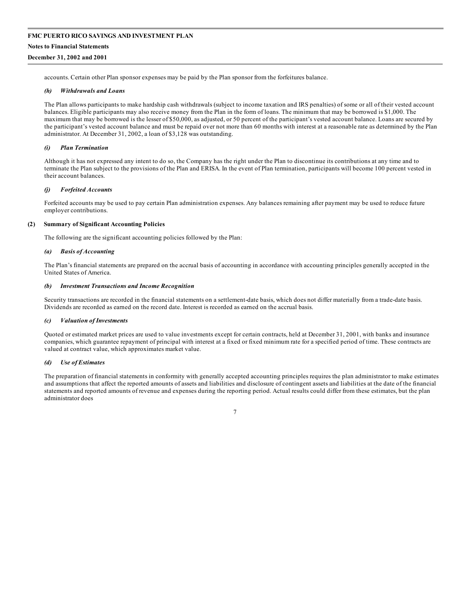#### **Notes to Financial Statements**

## **December 31, 2002 and 2001**

accounts. Certain other Plan sponsor expenses may be paid by the Plan sponsor from the forfeitures balance.

#### *(h) Withdrawals and Loans*

The Plan allows participants to make hardship cash withdrawals (subject to income taxation and IRS penalties) of some or all of their vested account balances. Eligible participants may also receive money from the Plan in the form of loans. The minimum that may be borrowed is \$1,000. The maximum that may be borrowed is the lesser of \$50,000, as adjusted, or 50 percent of the participant's vested account balance. Loans are secured by the participant's vested account balance and must be repaid over not more than 60 months with interest at a reasonable rate as determined by the Plan administrator. At December 31, 2002, a loan of \$3,128 was outstanding.

#### *(i) Plan Termination*

Although it has not expressed any intent to do so, the Company has the right under the Plan to discontinue its contributions at any time and to terminate the Plan subject to the provisions of the Plan and ERISA. In the event of Plan termination, participants will become 100 percent vested in their account balances.

#### *(j) Forfeited Accounts*

Forfeited accounts may be used to pay certain Plan administration expenses. Any balances remaining after payment may be used to reduce future employer contributions.

#### **(2) Summary of Significant Accounting Policies**

The following are the significant accounting policies followed by the Plan:

#### *(a) Basis of Accounting*

The Plan's financial statements are prepared on the accrual basis of accounting in accordance with accounting principles generally accepted in the United States of America.

#### *(b) Investment Transactions and Income Recognition*

Security transactions are recorded in the financial statements on a settlement-date basis, which does not differ materially from a trade-date basis. Dividends are recorded as earned on the record date. Interest is recorded as earned on the accrual basis.

#### *(c) Valuation of Investments*

Quoted or estimated market prices are used to value investments except for certain contracts, held at December 31, 2001, with banks and insurance companies, which guarantee repayment of principal with interest at a fixed or fixed minimum rate for a specified period of time. These contracts are valued at contract value, which approximates market value.

## *(d) Use of Estimates*

The preparation of financial statements in conformity with generally accepted accounting principles requires the plan administrator to make estimates and assumptions that affect the reported amounts of assets and liabilities and disclosure of contingent assets and liabilities at the date of the financial statements and reported amounts of revenue and expenses during the reporting period. Actual results could differ from these estimates, but the plan administrator does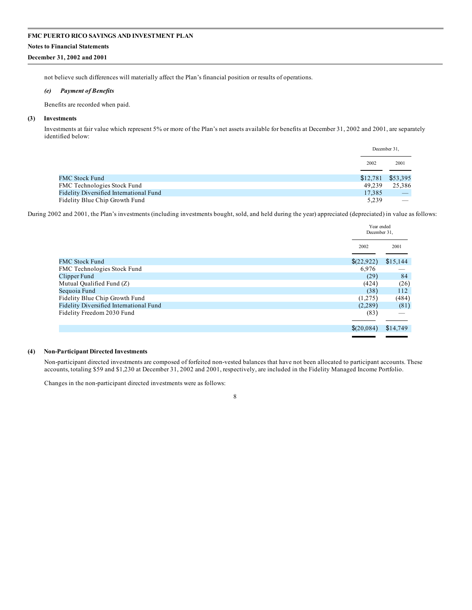## **Notes to Financial Statements**

## **December 31, 2002 and 2001**

not believe such differences will materially affect the Plan's financial position or results of operations.

#### *(e) Payment of Benefits*

Benefits are recorded when paid.

## **(3) Investments**

Investments at fair value which represent 5% or more of the Plan's net assets available for benefits at December 31, 2002 and 2001, are separately identified below:

|                                         | December 31, |                          |
|-----------------------------------------|--------------|--------------------------|
|                                         | 2002         | 2001                     |
| <b>FMC Stock Fund</b>                   | \$12,781     | \$53,395                 |
| FMC Technologies Stock Fund             | 49.239       | 25.386                   |
| Fidelity Diversified International Fund | 17,385       | $\sim$                   |
| Fidelity Blue Chip Growth Fund          | 5,239        | $\overline{\phantom{a}}$ |

During 2002 and 2001, the Plan's investments (including investments bought, sold, and held during the year) appreciated (depreciated) in value as follows:

|                                         |              | Year ended<br>December 31, |  |
|-----------------------------------------|--------------|----------------------------|--|
|                                         | 2002         | 2001                       |  |
| <b>FMC Stock Fund</b>                   | \$(22,922)   | \$15,144                   |  |
| FMC Technologies Stock Fund             | 6,976        |                            |  |
| Clipper Fund                            | (29)         | 84                         |  |
| Mutual Qualified Fund (Z)               | (424)        | (26)                       |  |
| Sequoia Fund                            | (38)         | 112                        |  |
| Fidelity Blue Chip Growth Fund          | (1,275)      | (484)                      |  |
| Fidelity Diversified International Fund | (2,289)      | (81)                       |  |
| Fidelity Freedom 2030 Fund              | (83)         |                            |  |
|                                         |              |                            |  |
|                                         | $\$(20,084)$ | \$14,749                   |  |
|                                         |              |                            |  |

#### **(4) Non-Participant Directed Investments**

Non-participant directed investments are composed of forfeited non-vested balances that have not been allocated to participant accounts. These accounts, totaling \$59 and \$1,230 at December 31, 2002 and 2001, respectively, are included in the Fidelity Managed Income Portfolio.

Changes in the non-participant directed investments were as follows: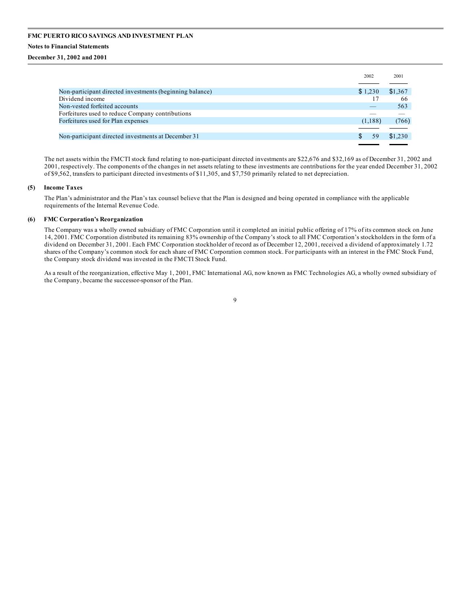#### **Notes to Financial Statements**

## **December 31, 2002 and 2001**

|                                                          | 2002    | 2001    |
|----------------------------------------------------------|---------|---------|
|                                                          |         |         |
| Non-participant directed investments (beginning balance) | \$1,230 | \$1,367 |
| Dividend income                                          |         | 66      |
| Non-vested forfeited accounts                            |         | 563     |
| Forfeitures used to reduce Company contributions         |         |         |
| Forfeitures used for Plan expenses                       | (1,188) | (766)   |
|                                                          |         |         |
| Non-participant directed investments at December 31      |         | \$1.230 |
|                                                          |         |         |

The net assets within the FMCTI stock fund relating to non-participant directed investments are \$22,676 and \$32,169 as of December 31, 2002 and 2001, respectively. The components of the changes in net assets relating to these investments are contributions for the year ended December 31, 2002 of \$9,562, transfers to participant directed investments of \$11,305, and \$7,750 primarily related to net depreciation.

#### **(5) Income Taxes**

The Plan's administrator and the Plan's tax counsel believe that the Plan is designed and being operated in compliance with the applicable requirements of the Internal Revenue Code.

#### **(6) FMC Corporation's Reorganization**

The Company was a wholly owned subsidiary of FMC Corporation until it completed an initial public offering of 17% of its common stock on June 14, 2001. FMC Corporation distributed its remaining 83% ownership of the Company's stock to all FMC Corporation's stockholders in the form of a dividend on December 31, 2001. Each FMC Corporation stockholder of record as of December 12, 2001, received a dividend of approximately 1.72 shares of the Company's common stock for each share of FMC Corporation common stock. For participants with an interest in the FMC Stock Fund, the Company stock dividend was invested in the FMCTI Stock Fund.

As a result of the reorganization, effective May 1, 2001, FMC International AG, now known as FMC Technologies AG, a wholly owned subsidiary of the Company, became the successor-sponsor of the Plan.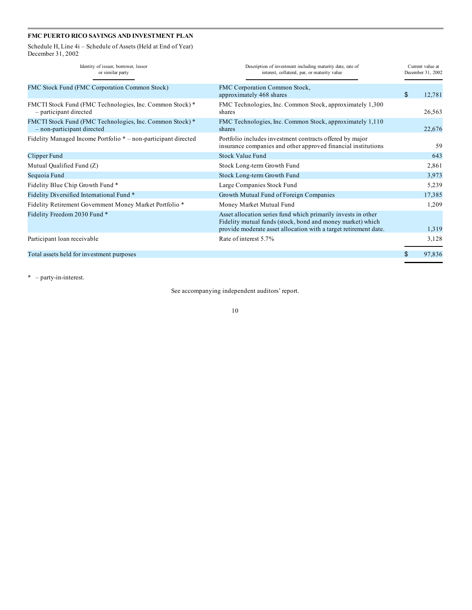<span id="page-11-0"></span>Schedule H, Line 4i – Schedule of Assets (Held at End of Year) December 31, 2002

| Identity of issuer, borrower, lessor<br>or similar party                               | Description of investment including maturity date, rate of<br>interest, collateral, par, or maturity value                                                                                      |                | Current value at<br>December 31, 2002 |
|----------------------------------------------------------------------------------------|-------------------------------------------------------------------------------------------------------------------------------------------------------------------------------------------------|----------------|---------------------------------------|
| FMC Stock Fund (FMC Corporation Common Stock)                                          | FMC Corporation Common Stock,<br>approximately 468 shares                                                                                                                                       | $\mathfrak{S}$ | 12,781                                |
| FMCTI Stock Fund (FMC Technologies, Inc. Common Stock) *<br>- participant directed     | FMC Technologies, Inc. Common Stock, approximately 1,300<br>shares                                                                                                                              |                | 26,563                                |
| FMCTI Stock Fund (FMC Technologies, Inc. Common Stock) *<br>- non-participant directed | FMC Technologies, Inc. Common Stock, approximately 1,110<br>shares                                                                                                                              |                | 22,676                                |
| Fidelity Managed Income Portfolio * – non-participant directed                         | Portfolio includes investment contracts offered by major<br>insurance companies and other approved financial institutions                                                                       |                | 59                                    |
| Clipper Fund                                                                           | <b>Stock Value Fund</b>                                                                                                                                                                         |                | 643                                   |
| Mutual Qualified Fund (Z)                                                              | Stock Long-term Growth Fund                                                                                                                                                                     |                | 2,861                                 |
| Sequoia Fund                                                                           | Stock Long-term Growth Fund                                                                                                                                                                     |                | 3,973                                 |
| Fidelity Blue Chip Growth Fund *                                                       | Large Companies Stock Fund                                                                                                                                                                      |                | 5,239                                 |
| Fidelity Diversified International Fund *                                              | Growth Mutual Fund of Foreign Companies                                                                                                                                                         |                | 17,385                                |
| Fidelity Retirement Government Money Market Portfolio *                                | Money Market Mutual Fund                                                                                                                                                                        |                | 1,209                                 |
| Fidelity Freedom 2030 Fund *                                                           | Asset allocation series fund which primarily invests in other<br>Fidelity mutual funds (stock, bond and money market) which<br>provide moderate asset allocation with a target retirement date. |                | 1,319                                 |
| Participant loan receivable                                                            | Rate of interest 5.7%                                                                                                                                                                           |                | 3,128                                 |
| Total assets held for investment purposes                                              |                                                                                                                                                                                                 | \$             | 97,836                                |

\* – party-in-interest.

See accompanying independent auditors' report.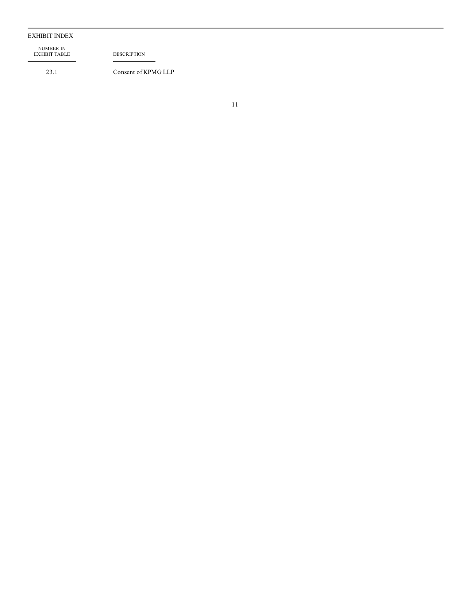# <span id="page-12-0"></span>EXHIBIT INDEX

NUMBER IN EXHIBIT TABLE DESCRIPTION

23.1 Consent of KPMG LLP